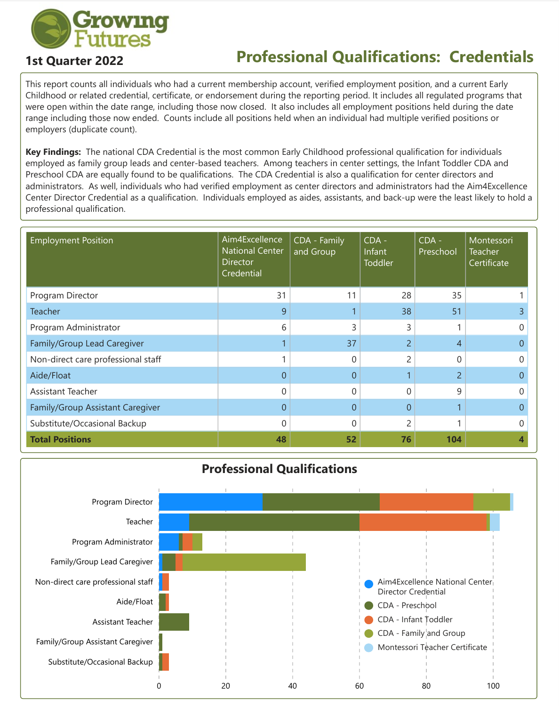

## **1st Quarter 2022 Professional Qualifications: Credentials**

This report counts all individuals who had a current membership account, verified employment position, and a current Early Childhood or related credential, certificate, or endorsement during the reporting period. It includes all regulated programs that were open within the date range, including those now closed. It also includes all employment positions held during the date range including those now ended. Counts include all positions held when an individual had multiple verified positions or employers (duplicate count).

**Key Findings:** The national CDA Credential is the most common Early Childhood professional qualification for individuals employed as family group leads and center-based teachers. Among teachers in center settings, the Infant Toddler CDA and Preschool CDA are equally found to be qualifications. The CDA Credential is also a qualification for center directors and administrators. As well, individuals who had verified employment as center directors and administrators had the Aim4Excellence Center Director Credential as a qualification. Individuals employed as aides, assistants, and back-up were the least likely to hold a professional qualification.

| <b>Employment Position</b>         | Aim4Excellence<br><b>National Center</b><br><b>Director</b><br>Credential | CDA - Family<br>and Group | $CDA -$<br>Infant<br>Toddler | $CDA -$<br>Preschool | Montessori<br><b>Teacher</b><br>Certificate |
|------------------------------------|---------------------------------------------------------------------------|---------------------------|------------------------------|----------------------|---------------------------------------------|
| Program Director                   | 31                                                                        | 11                        | 28                           | 35                   |                                             |
| <b>Teacher</b>                     | 9                                                                         |                           | 38                           | 51                   |                                             |
| Program Administrator              | 6                                                                         | 3                         | 3                            |                      |                                             |
| Family/Group Lead Caregiver        |                                                                           | 37                        | $\overline{2}$               | $\overline{4}$       |                                             |
| Non-direct care professional staff |                                                                           | 0                         | $\overline{2}$               | 0                    |                                             |
| Aide/Float                         | $\overline{0}$                                                            | $\overline{0}$            |                              | $\overline{2}$       |                                             |
| Assistant Teacher                  | $\mathbf 0$                                                               | 0                         | $\overline{0}$               | 9                    |                                             |
| Family/Group Assistant Caregiver   | $\overline{0}$                                                            | 0                         | $\overline{0}$               |                      |                                             |
| Substitute/Occasional Backup       | 0                                                                         | 0                         | $\overline{2}$               |                      |                                             |
| <b>Total Positions</b>             | 48                                                                        | 52                        | 76                           | 104                  |                                             |